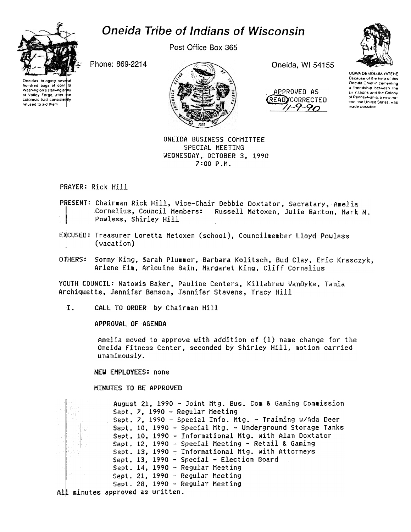# **Oneida Tribe of Indians of Wisconsin**



hundred bags of corn to

Washington's starving army

at Valley Forge, after the

colonists had consistently

refused to aid them

Post Office Box 365

Phone: 869-2214



Oneida, WI 54155





**UGWA DEMOLUM YATEHE** Because of the help of this Oneida Chief in cementing a friendship between the six nations and the Colony of Pennsylvania, a new nafron, the United States, was made possible

ONEIDA BUSINESS COMMITTEE SPECIAL MEETING WEDNESDAY, OCTOBER 3, 1990 7:00 P.M.

PRAYER: Rick Hill

PRESENT: Chairman Rick Hill, Vice-Chair Debbie Doxtator, Secretary, Amelia Cornelius, Council Members: Russell Metoxen, Julie Barton, Mark N. Powless, Shirley Hill

EXCUSED: Treasurer Loretta Metoxen (school), Councilmember Lloyd Powless (vacation)

OTHERS: Sonny King, Sarah Plummer, Barbara Kolitsch, Bud Clay, Eric Krasczyk, Arlene Elm, Arlouine Bain, Margaret King, Cliff Cornelius

YQUTH COUNCIL: Natowis Baker, Pauline Centers, Killabrew VanDyke, Tania Anchiquette, Jennifer Benson, Jennifer Stevens, Tracy Hill

 $\mathbf{I}$ . CALL TO ORDER by Chairman Hill

APPROVAL OF AGENDA

Amelia moved to approve with addition of (1) name change for the Oneida Fitness Center, seconded by Shirley Hill, motion carried unanimously.

**NEW EMPLOYEES: none** 

**HINUTES TO BE APPROVED** 

August 21, 1990 - Joint Mtg. Bus. Com & Gaming Commission Sept. 7, 1990 - Regular Meeting Sept. 7, 1990 - Special Info. Mtg. - Training w/Ada Deer Sept. 10, 1990 - Special Mtg. - Underground Storage Tanks Sept. 10, 1990 - Informational Mtg. with Alan Doxtator Sept. 12, 1990 - Special Meeting - Retail & Gaming Sept. 13, 1990 - Informational Mtg. with Attorneys Sept. 13, 1990 - Special - Election Board Sept. 14, 1990 - Regular Meeting Sept. 21, 1990 - Regular Meeting Sept. 28, 1990 - Regular Meeting All minutes approved as written.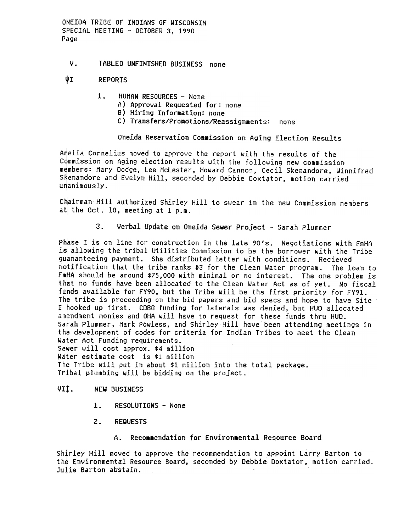ONEIDA TRIBE OF INDIANS OF WISCONSIN SPECIAL MEETING - OCTOBER 3, 1990 Page

### v. TABLED UNFINISHED BUSINESS none

### VI REPORTS

- $1.$ HUMAN RESOURCES - None
	- A) Approval Requested for: none
	- B) Hiring Information: none
	- C) Transfers/Promotions/Reassignments: none

## Oneida Reservation Commission on Aging Election Results

Amelia Cornelius moved to approve the report with the results of the Commission on Aging election results with the following new commission members: Mary Dodge, Lee McLester, Howard Cannon, Cecil Skenandore, Winnifred Skenandore and Evelyn Hill, seconded by Debbie Doxtator, motion carried unanimously.

Chairman Hill authorized Shirley Hill to swear in the new Commission members at the Oct. 10, meeting at 1 p.m.

3. Verbal Update on Oneida Sewer Project - Sarah Plummer<br>
19 missa I so nline for construction in the late 90's. Negotiations<br>
quantateling payment. She distributed letter with conditions. Recent<br>
notification that the tri Phase I is on line for construction in the late 90's. Negotiations with FmHA is allowing the tribal Utilities Commission to be the borrower with the Tribe guananteeing payment. She distributed letter with conditions. Recieved notification that the tribe ranks #3 for the Clean Water program. The loan to  $FmHA$  should be around \$75,000 with minimal or no interest. The one problem is that no funds have been allocated to the Clean Water Act as of yet. No fiscal funds available for  $FY90$ , but the Tribe will be the first priority for  $FY91$ . The tribe is proceeding on the bid papers and bid specs and hope to have Site I hooked up first. CDBG funding for laterals was denied, but HUD allocated amendment monies and OHA will have to request for these funds thru HUD. Sarah Plummer, Mark Powless, and Shirley Hill have been attending meetings in the development of codes for criteria for Indian Tribes to meet the Clean Water Act Funding requirements. Sewer will cost approx. \$4 million Water estimate cost is \$1 million

The Tribe will put in about  $$1$  million into the total package. Tribal plumbing will be bidding on the project.

#### VII. NEW BUSINESS

- 1. RESOLUTIONS None
- 2. REQUESTS
	- A. Recommendation for Environmental Resource Board

Shirley Hill moved to approve the recommendation to appoint Larry Barton to the Environmental Resource Board, seconded by Debbie Doxtator, motion carried. Julie Barton abstain.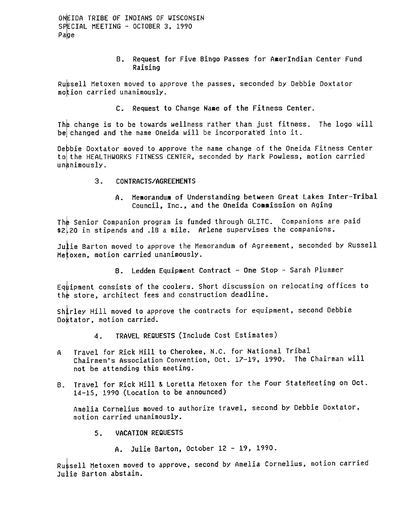ONEIDA TRIBE OF INDIANS OF WISCONSIN SPECIAL MEETING - OCTOBER 3, 1990 Page

> B. Request for Five Bingo Passes for AmerIndian Center Fund Raising

Russell Metoxen moved to approve the passes, seconded by Debbie Doxtator motion carried unanimously.

C. Request to Change Name of the Fitness Center.

The change is to be towards wellness rather than just fitness. The logo wil be changed and the name Oneida will be incorporated into it.

Debbie Doxtator moved to approve the name change of the Oneida Fitness Center to the HEALTHWORKS FITNESS CENTER, seconded by Hark Powless, motion carried unanimously.

- $3<sub>1</sub>$ CONTRACTS/AGREEMENTS
	- A. Memorandum of Understanding between Great Lakes Inter-T Council, Inc., and the Oneida Commission on Aging

The Senior Companion program is funded through GLITC. Companions are paid \$2.20 in stipends and .18 a mile. Arlene supervises the companions.

Julie Barton moved to approve the Memorandum of Agreement, seconded by Russell Hetoxen, motion carried unanimously-

B. Ledden Equipment Contract - One Stop - Sarah Plummer

Equipment consists of the coolers. Short discussion on relocating offices to the store, architect fees and construction deadline.

shirley Hill moved to approve the contracts for equipment, second Debbie Doxtator, motion carried.

- 4. TRAVEL REQUESTS (Include Cost Estimates)
- A Travel for Rick Hill to Cherokee, N.C. for National Tribal Chairmen's Association Convention, Oct. 17-19, 1990. The Chairman will not be attending this meeting.
- B. Travel for Rick Hill & Loretta Metoxen for the Four StateMeeting on Oct 14-15, 1990 (Location to be announced)

Amelia Cornelius moved to authorize travel, second by Debbie Doxtator, motion carried unanimously.

- VACATION REQUESTS  $5.$ 
	- A. Julie Barton, October 12 -19, 1990.

Russell Metoxen moved to approve, second by Amelia Cornelius, motion carried Julie Barton abstain.